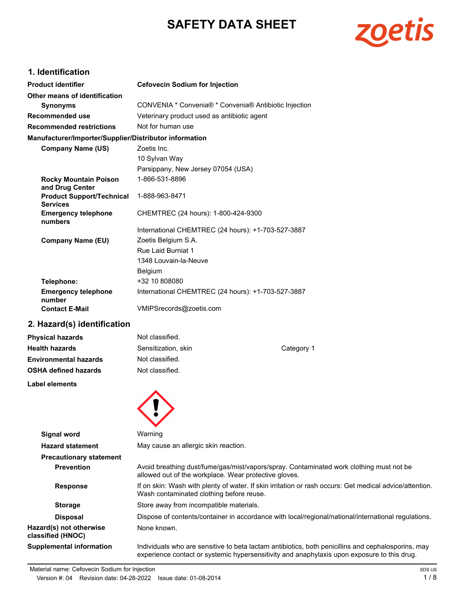# **SAFETY DATA SHEET**



# **1. Identification**

| <b>Product identifier</b>                              | <b>Cefovecin Sodium for Injection</b>                 |  |  |
|--------------------------------------------------------|-------------------------------------------------------|--|--|
| Other means of identification                          |                                                       |  |  |
| <b>Synonyms</b>                                        | CONVENIA * Convenia® * Convenia® Antibiotic Injection |  |  |
| Recommended use                                        | Veterinary product used as antibiotic agent           |  |  |
| <b>Recommended restrictions</b>                        | Not for human use                                     |  |  |
| Manufacturer/Importer/Supplier/Distributor information |                                                       |  |  |
| <b>Company Name (US)</b>                               | Zoetis Inc.                                           |  |  |
|                                                        | 10 Sylvan Way                                         |  |  |
|                                                        | Parsippany, New Jersey 07054 (USA)                    |  |  |
| <b>Rocky Mountain Poison</b><br>and Drug Center        | 1-866-531-8896                                        |  |  |
| <b>Product Support/Technical</b><br><b>Services</b>    | 1-888-963-8471                                        |  |  |
| <b>Emergency telephone</b><br>numbers                  | CHEMTREC (24 hours): 1-800-424-9300                   |  |  |
|                                                        | International CHEMTREC (24 hours): +1-703-527-3887    |  |  |
| <b>Company Name (EU)</b>                               | Zoetis Belgium S.A.                                   |  |  |
|                                                        | Rue Laid Burniat 1                                    |  |  |
|                                                        | 1348 Louvain-la-Neuve                                 |  |  |
|                                                        | Belgium                                               |  |  |
| Telephone:                                             | +32 10 808080                                         |  |  |
| <b>Emergency telephone</b><br>number                   | International CHEMTREC (24 hours): +1-703-527-3887    |  |  |
| <b>Contact E-Mail</b>                                  | VMIPSrecords@zoetis.com                               |  |  |

# **2. Hazard(s) identification**

| <b>Physical hazards</b>      | Not classified.     |            |
|------------------------------|---------------------|------------|
| <b>Health hazards</b>        | Sensitization, skin | Category 1 |
| <b>Environmental hazards</b> | Not classified.     |            |
| <b>OSHA defined hazards</b>  | Not classified.     |            |
|                              |                     |            |

**A** 

**Label elements**

| <b>Signal word</b>                           | Warning                                                                                                                                                                                           |
|----------------------------------------------|---------------------------------------------------------------------------------------------------------------------------------------------------------------------------------------------------|
| <b>Hazard statement</b>                      | May cause an allergic skin reaction.                                                                                                                                                              |
| <b>Precautionary statement</b>               |                                                                                                                                                                                                   |
| <b>Prevention</b>                            | Avoid breathing dust/fume/gas/mist/vapors/spray. Contaminated work clothing must not be<br>allowed out of the workplace. Wear protective gloves.                                                  |
| <b>Response</b>                              | If on skin: Wash with plenty of water. If skin irritation or rash occurs: Get medical advice/attention.<br>Wash contaminated clothing before reuse.                                               |
| <b>Storage</b>                               | Store away from incompatible materials.                                                                                                                                                           |
| <b>Disposal</b>                              | Dispose of contents/container in accordance with local/regional/national/international regulations.                                                                                               |
| Hazard(s) not otherwise<br>classified (HNOC) | None known.                                                                                                                                                                                       |
| <b>Supplemental information</b>              | Individuals who are sensitive to beta lactam antibiotics, both penicillins and cephalosporins, may<br>experience contact or systemic hypersensitivity and anaphylaxis upon exposure to this drug. |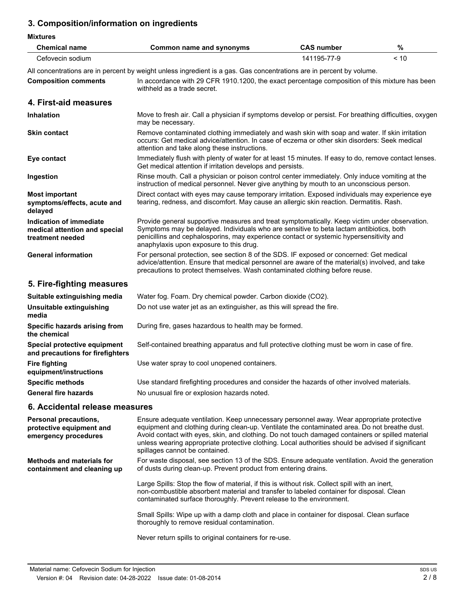# **3. Composition/information on ingredients**

| <b>Chemical name</b>                                                         | Common name and synonyms                                                                                                                                                                                                                                                                                                       | <b>CAS number</b> | %    |  |
|------------------------------------------------------------------------------|--------------------------------------------------------------------------------------------------------------------------------------------------------------------------------------------------------------------------------------------------------------------------------------------------------------------------------|-------------------|------|--|
| Cefovecin sodium                                                             |                                                                                                                                                                                                                                                                                                                                | 141195-77-9       | < 10 |  |
|                                                                              | All concentrations are in percent by weight unless ingredient is a gas. Gas concentrations are in percent by volume.                                                                                                                                                                                                           |                   |      |  |
| <b>Composition comments</b>                                                  | In accordance with 29 CFR 1910.1200, the exact percentage composition of this mixture has been<br>withheld as a trade secret.                                                                                                                                                                                                  |                   |      |  |
| 4. First-aid measures                                                        |                                                                                                                                                                                                                                                                                                                                |                   |      |  |
| <b>Inhalation</b>                                                            | Move to fresh air. Call a physician if symptoms develop or persist. For breathing difficulties, oxygen<br>may be necessary.                                                                                                                                                                                                    |                   |      |  |
| <b>Skin contact</b>                                                          | Remove contaminated clothing immediately and wash skin with soap and water. If skin irritation<br>occurs: Get medical advice/attention. In case of eczema or other skin disorders: Seek medical<br>attention and take along these instructions.                                                                                |                   |      |  |
| Eye contact                                                                  | Immediately flush with plenty of water for at least 15 minutes. If easy to do, remove contact lenses.<br>Get medical attention if irritation develops and persists.                                                                                                                                                            |                   |      |  |
| Ingestion                                                                    | Rinse mouth. Call a physician or poison control center immediately. Only induce vomiting at the<br>instruction of medical personnel. Never give anything by mouth to an unconscious person.                                                                                                                                    |                   |      |  |
| <b>Most important</b><br>symptoms/effects, acute and<br>delayed              | Direct contact with eyes may cause temporary irritation. Exposed individuals may experience eye<br>tearing, redness, and discomfort. May cause an allergic skin reaction. Dermatitis. Rash.                                                                                                                                    |                   |      |  |
| Indication of immediate<br>medical attention and special<br>treatment needed | Provide general supportive measures and treat symptomatically. Keep victim under observation.<br>Symptoms may be delayed. Individuals who are sensitive to beta lactam antibiotics, both<br>penicillins and cephalosporins, may experience contact or systemic hypersensitivity and<br>anaphylaxis upon exposure to this drug. |                   |      |  |
| <b>General information</b>                                                   | For personal protection, see section 8 of the SDS. IF exposed or concerned: Get medical<br>advice/attention. Ensure that medical personnel are aware of the material(s) involved, and take<br>precautions to protect themselves. Wash contaminated clothing before reuse.                                                      |                   |      |  |
| 5. Fire-fighting measures                                                    |                                                                                                                                                                                                                                                                                                                                |                   |      |  |
| Suitable extinguishing media                                                 | Water fog. Foam. Dry chemical powder. Carbon dioxide (CO2).                                                                                                                                                                                                                                                                    |                   |      |  |
| Unsuitable extinguishing<br>media                                            | Do not use water jet as an extinguisher, as this will spread the fire.                                                                                                                                                                                                                                                         |                   |      |  |
| Specific hazards arising from<br>the chemical                                | During fire, gases hazardous to health may be formed.                                                                                                                                                                                                                                                                          |                   |      |  |
| Special protective equipment<br>and precautions for firefighters             | Self-contained breathing apparatus and full protective clothing must be worn in case of fire.                                                                                                                                                                                                                                  |                   |      |  |
| <b>Fire fighting</b><br>equipment/instructions                               | Use water spray to cool unopened containers.                                                                                                                                                                                                                                                                                   |                   |      |  |
| <b>Specific methods</b>                                                      | Use standard firefighting procedures and consider the hazards of other involved materials.                                                                                                                                                                                                                                     |                   |      |  |
| <b>General fire hazards</b>                                                  | No unusual fire or explosion hazards noted.                                                                                                                                                                                                                                                                                    |                   |      |  |
| 6. Accidental release measures                                               |                                                                                                                                                                                                                                                                                                                                |                   |      |  |

| <b>Personal precautions,</b><br>protective equipment and<br>emergency procedures | Ensure adequate ventilation. Keep unnecessary personnel away. Wear appropriate protective<br>equipment and clothing during clean-up. Ventilate the contaminated area. Do not breathe dust.<br>Avoid contact with eyes, skin, and clothing. Do not touch damaged containers or spilled material<br>unless wearing appropriate protective clothing. Local authorities should be advised if significant<br>spillages cannot be contained. |  |
|----------------------------------------------------------------------------------|----------------------------------------------------------------------------------------------------------------------------------------------------------------------------------------------------------------------------------------------------------------------------------------------------------------------------------------------------------------------------------------------------------------------------------------|--|
| Methods and materials for<br>containment and cleaning up                         | For waste disposal, see section 13 of the SDS. Ensure adequate ventilation. Avoid the generation<br>of dusts during clean-up. Prevent product from entering drains.                                                                                                                                                                                                                                                                    |  |
|                                                                                  | Large Spills: Stop the flow of material, if this is without risk. Collect spill with an inert,<br>non-combustible absorbent material and transfer to labeled container for disposal. Clean<br>contaminated surface thoroughly. Prevent release to the environment.                                                                                                                                                                     |  |
|                                                                                  | Small Spills: Wipe up with a damp cloth and place in container for disposal. Clean surface<br>thoroughly to remove residual contamination.                                                                                                                                                                                                                                                                                             |  |
|                                                                                  | Never return spills to original containers for re-use.                                                                                                                                                                                                                                                                                                                                                                                 |  |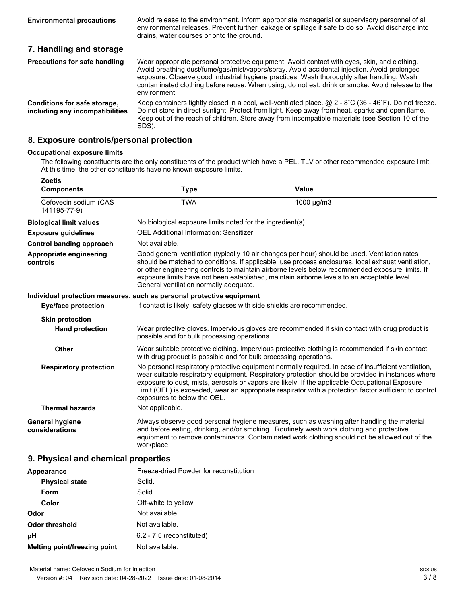Avoid release to the environment. Inform appropriate managerial or supervisory personnel of all environmental releases. Prevent further leakage or spillage if safe to do so. Avoid discharge into drains, water courses or onto the ground.

# **7. Handling and storage**

| <b>Precautions for safe handling</b>                                   | Wear appropriate personal protective equipment. Avoid contact with eyes, skin, and clothing.<br>Avoid breathing dust/fume/gas/mist/vapors/spray. Avoid accidental injection. Avoid prolonged<br>exposure. Observe good industrial hygiene practices. Wash thoroughly after handling. Wash<br>contaminated clothing before reuse. When using, do not eat, drink or smoke. Avoid release to the<br>environment. |
|------------------------------------------------------------------------|---------------------------------------------------------------------------------------------------------------------------------------------------------------------------------------------------------------------------------------------------------------------------------------------------------------------------------------------------------------------------------------------------------------|
| <b>Conditions for safe storage,</b><br>including any incompatibilities | Keep containers tightly closed in a cool, well-ventilated place. $@$ 2 - 8°C (36 - 46°F). Do not freeze.<br>Do not store in direct sunlight. Protect from light. Keep away from heat, sparks and open flame.<br>Keep out of the reach of children. Store away from incompatible materials (see Section 10 of the<br>SDS).                                                                                     |

#### **8. Exposure controls/personal protection**

#### **Occupational exposure limits**

The following constituents are the only constituents of the product which have a PEL, TLV or other recommended exposure limit. At this time, the other constituents have no known exposure limits.

| <b>Zoetis</b><br><b>Components</b>       | <b>Type</b>                                                                                                                                                                                                                                                                                                                                                                                                                                      | Value                                                                                                                                                                                                                                                                                                                                                                                                                  |  |
|------------------------------------------|--------------------------------------------------------------------------------------------------------------------------------------------------------------------------------------------------------------------------------------------------------------------------------------------------------------------------------------------------------------------------------------------------------------------------------------------------|------------------------------------------------------------------------------------------------------------------------------------------------------------------------------------------------------------------------------------------------------------------------------------------------------------------------------------------------------------------------------------------------------------------------|--|
| Cefovecin sodium (CAS<br>141195-77-9)    | <b>TWA</b>                                                                                                                                                                                                                                                                                                                                                                                                                                       | 1000 µg/m3                                                                                                                                                                                                                                                                                                                                                                                                             |  |
| <b>Biological limit values</b>           | No biological exposure limits noted for the ingredient(s).                                                                                                                                                                                                                                                                                                                                                                                       |                                                                                                                                                                                                                                                                                                                                                                                                                        |  |
| <b>Exposure guidelines</b>               | <b>OEL Additional Information: Sensitizer</b>                                                                                                                                                                                                                                                                                                                                                                                                    |                                                                                                                                                                                                                                                                                                                                                                                                                        |  |
| <b>Control banding approach</b>          | Not available.                                                                                                                                                                                                                                                                                                                                                                                                                                   |                                                                                                                                                                                                                                                                                                                                                                                                                        |  |
| Appropriate engineering<br>controls      | Good general ventilation (typically 10 air changes per hour) should be used. Ventilation rates<br>should be matched to conditions. If applicable, use process enclosures, local exhaust ventilation,<br>or other engineering controls to maintain airborne levels below recommended exposure limits. If<br>exposure limits have not been established, maintain airborne levels to an acceptable level.<br>General ventilation normally adequate. |                                                                                                                                                                                                                                                                                                                                                                                                                        |  |
|                                          | Individual protection measures, such as personal protective equipment                                                                                                                                                                                                                                                                                                                                                                            |                                                                                                                                                                                                                                                                                                                                                                                                                        |  |
| <b>Eye/face protection</b>               | If contact is likely, safety glasses with side shields are recommended.                                                                                                                                                                                                                                                                                                                                                                          |                                                                                                                                                                                                                                                                                                                                                                                                                        |  |
| <b>Skin protection</b>                   |                                                                                                                                                                                                                                                                                                                                                                                                                                                  |                                                                                                                                                                                                                                                                                                                                                                                                                        |  |
| <b>Hand protection</b>                   | possible and for bulk processing operations.                                                                                                                                                                                                                                                                                                                                                                                                     | Wear protective gloves. Impervious gloves are recommended if skin contact with drug product is                                                                                                                                                                                                                                                                                                                         |  |
| <b>Other</b>                             | with drug product is possible and for bulk processing operations.                                                                                                                                                                                                                                                                                                                                                                                | Wear suitable protective clothing. Impervious protective clothing is recommended if skin contact                                                                                                                                                                                                                                                                                                                       |  |
| <b>Respiratory protection</b>            | exposures to below the OEL.                                                                                                                                                                                                                                                                                                                                                                                                                      | No personal respiratory protective equipment normally required. In case of insufficient ventilation,<br>wear suitable respiratory equipment. Respiratory protection should be provided in instances where<br>exposure to dust, mists, aerosols or vapors are likely. If the applicable Occupational Exposure<br>Limit (OEL) is exceeded, wear an appropriate respirator with a protection factor sufficient to control |  |
| <b>Thermal hazards</b>                   | Not applicable.                                                                                                                                                                                                                                                                                                                                                                                                                                  |                                                                                                                                                                                                                                                                                                                                                                                                                        |  |
| <b>General hygiene</b><br>considerations | workplace.                                                                                                                                                                                                                                                                                                                                                                                                                                       | Always observe good personal hygiene measures, such as washing after handling the material<br>and before eating, drinking, and/or smoking. Routinely wash work clothing and protective<br>equipment to remove contaminants. Contaminated work clothing should not be allowed out of the                                                                                                                                |  |
| 9. Physical and chemical properties      |                                                                                                                                                                                                                                                                                                                                                                                                                                                  |                                                                                                                                                                                                                                                                                                                                                                                                                        |  |

# Appearance **Appearance** Freeze-dried Powder for reconstitution **Physical state** Solid. Form Solid. **Color Color** Off-white to yellow **Odor** Not available. **Odor threshold** Not available. **pH** 6.2 - 7.5 (reconstituted) **Melting point/freezing point** Not available.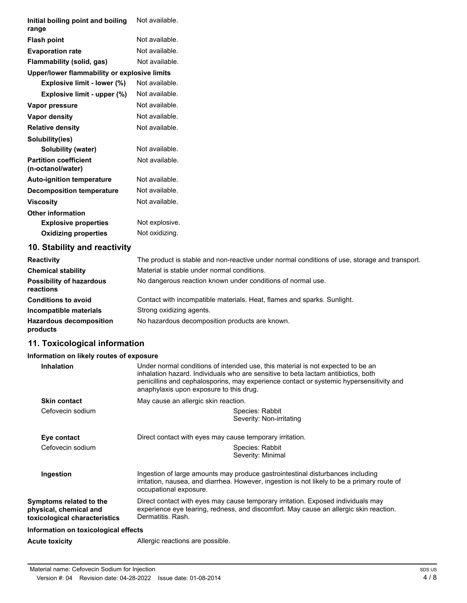| Initial boiling point and boiling<br>range        | Not available. |
|---------------------------------------------------|----------------|
| <b>Flash point</b>                                | Not available. |
| <b>Evaporation rate</b>                           | Not available. |
| Flammability (solid, gas)                         | Not available. |
| Upper/lower flammability or explosive limits      |                |
| Explosive limit - lower (%)                       | Not available. |
| Explosive limit - upper (%)                       | Not available. |
| Vapor pressure                                    | Not available. |
| Vapor density                                     | Not available. |
| <b>Relative density</b>                           | Not available. |
| Solubility(ies)                                   |                |
| Solubility (water)                                | Not available. |
| <b>Partition coefficient</b><br>(n-octanol/water) | Not available. |
| <b>Auto-ignition temperature</b>                  | Not available. |
| <b>Decomposition temperature</b>                  | Not available. |
| <b>Viscosity</b>                                  | Not available. |
| <b>Other information</b>                          |                |
| <b>Explosive properties</b>                       | Not explosive. |
| <b>Oxidizing properties</b>                       | Not oxidizing. |
| 10. Stability and reactivity                      |                |

## **10. Stability and reactivity**

| <b>Reactivity</b>                            | The product is stable and non-reactive under normal conditions of use, storage and transport. |
|----------------------------------------------|-----------------------------------------------------------------------------------------------|
| <b>Chemical stability</b>                    | Material is stable under normal conditions.                                                   |
| <b>Possibility of hazardous</b><br>reactions | No dangerous reaction known under conditions of normal use.                                   |
| <b>Conditions to avoid</b>                   | Contact with incompatible materials. Heat, flames and sparks. Sunlight.                       |
| Incompatible materials                       | Strong oxidizing agents.                                                                      |
| <b>Hazardous decomposition</b><br>products   | No hazardous decomposition products are known.                                                |

# **11. Toxicological information**

#### **Information on likely routes of exposure**

| <b>Inhalation</b>                                                                  | Under normal conditions of intended use, this material is not expected to be an<br>inhalation hazard. Individuals who are sensitive to beta lactam antibiotics, both<br>penicillins and cephalosporins, may experience contact or systemic hypersensitivity and<br>anaphylaxis upon exposure to this drug. |  |  |
|------------------------------------------------------------------------------------|------------------------------------------------------------------------------------------------------------------------------------------------------------------------------------------------------------------------------------------------------------------------------------------------------------|--|--|
| <b>Skin contact</b>                                                                | May cause an allergic skin reaction.                                                                                                                                                                                                                                                                       |  |  |
| Cefovecin sodium                                                                   | Species: Rabbit<br>Severity: Non-irritating                                                                                                                                                                                                                                                                |  |  |
| Eye contact                                                                        | Direct contact with eyes may cause temporary irritation.                                                                                                                                                                                                                                                   |  |  |
| Cefovecin sodium                                                                   | Species: Rabbit<br>Severity: Minimal                                                                                                                                                                                                                                                                       |  |  |
| Ingestion                                                                          | Ingestion of large amounts may produce gastrointestinal disturbances including<br>irritation, nausea, and diarrhea. However, ingestion is not likely to be a primary route of<br>occupational exposure.                                                                                                    |  |  |
| Symptoms related to the<br>physical, chemical and<br>toxicological characteristics | Direct contact with eyes may cause temporary irritation. Exposed individuals may<br>experience eye tearing, redness, and discomfort. May cause an allergic skin reaction.<br>Dermatitis, Rash.                                                                                                             |  |  |
| Information on toxicological effects                                               |                                                                                                                                                                                                                                                                                                            |  |  |
| Acute toxicity                                                                     | Allergic reactions are possible.                                                                                                                                                                                                                                                                           |  |  |
|                                                                                    |                                                                                                                                                                                                                                                                                                            |  |  |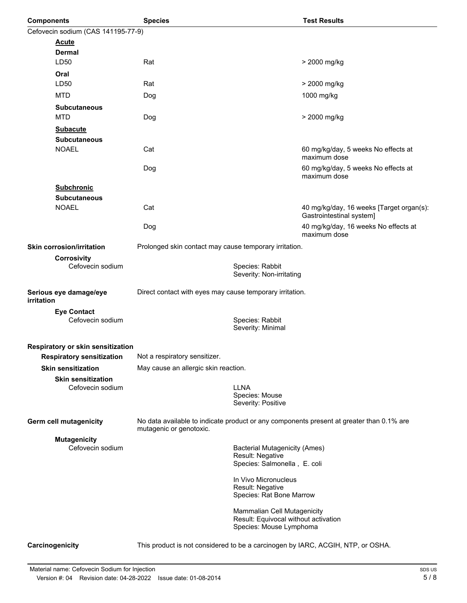| <b>Components</b>                       | <b>Species</b>                                                                                                      |                                                                                                | <b>Test Results</b>                                                  |  |
|-----------------------------------------|---------------------------------------------------------------------------------------------------------------------|------------------------------------------------------------------------------------------------|----------------------------------------------------------------------|--|
| Cefovecin sodium (CAS 141195-77-9)      |                                                                                                                     |                                                                                                |                                                                      |  |
| <b>Acute</b>                            |                                                                                                                     |                                                                                                |                                                                      |  |
| <b>Dermal</b>                           |                                                                                                                     |                                                                                                |                                                                      |  |
| LD50                                    | Rat                                                                                                                 |                                                                                                | > 2000 mg/kg                                                         |  |
| Oral                                    |                                                                                                                     |                                                                                                |                                                                      |  |
| LD50                                    | Rat                                                                                                                 |                                                                                                | > 2000 mg/kg                                                         |  |
| <b>MTD</b>                              | Dog                                                                                                                 |                                                                                                | 1000 mg/kg                                                           |  |
| <b>Subcutaneous</b>                     |                                                                                                                     |                                                                                                |                                                                      |  |
| <b>MTD</b>                              | Dog                                                                                                                 |                                                                                                | > 2000 mg/kg                                                         |  |
| <b>Subacute</b>                         |                                                                                                                     |                                                                                                |                                                                      |  |
| <b>Subcutaneous</b>                     |                                                                                                                     |                                                                                                |                                                                      |  |
| <b>NOAEL</b>                            | Cat                                                                                                                 |                                                                                                | 60 mg/kg/day, 5 weeks No effects at<br>maximum dose                  |  |
|                                         | Dog                                                                                                                 |                                                                                                | 60 mg/kg/day, 5 weeks No effects at<br>maximum dose                  |  |
| <b>Subchronic</b>                       |                                                                                                                     |                                                                                                |                                                                      |  |
| <b>Subcutaneous</b>                     |                                                                                                                     |                                                                                                |                                                                      |  |
| <b>NOAEL</b>                            | Cat                                                                                                                 |                                                                                                | 40 mg/kg/day, 16 weeks [Target organ(s):<br>Gastrointestinal system] |  |
|                                         | Dog                                                                                                                 |                                                                                                | 40 mg/kg/day, 16 weeks No effects at<br>maximum dose                 |  |
| <b>Skin corrosion/irritation</b>        | Prolonged skin contact may cause temporary irritation.                                                              |                                                                                                |                                                                      |  |
| <b>Corrosivity</b>                      |                                                                                                                     |                                                                                                |                                                                      |  |
| Cefovecin sodium                        |                                                                                                                     | Species: Rabbit<br>Severity: Non-irritating                                                    |                                                                      |  |
| Serious eye damage/eye<br>irritation    | Direct contact with eyes may cause temporary irritation.                                                            |                                                                                                |                                                                      |  |
| <b>Eye Contact</b><br>Cefovecin sodium  |                                                                                                                     | Species: Rabbit<br>Severity: Minimal                                                           |                                                                      |  |
| Respiratory or skin sensitization       |                                                                                                                     |                                                                                                |                                                                      |  |
| <b>Respiratory sensitization</b>        | Not a respiratory sensitizer.                                                                                       |                                                                                                |                                                                      |  |
| <b>Skin sensitization</b>               | May cause an allergic skin reaction.                                                                                |                                                                                                |                                                                      |  |
| <b>Skin sensitization</b>               |                                                                                                                     |                                                                                                |                                                                      |  |
| Cefovecin sodium                        |                                                                                                                     | <b>LLNA</b><br>Species: Mouse<br>Severity: Positive                                            |                                                                      |  |
| Germ cell mutagenicity                  | No data available to indicate product or any components present at greater than 0.1% are<br>mutagenic or genotoxic. |                                                                                                |                                                                      |  |
| <b>Mutagenicity</b><br>Cefovecin sodium |                                                                                                                     | <b>Bacterial Mutagenicity (Ames)</b><br>Result: Negative<br>Species: Salmonella, E. coli       |                                                                      |  |
|                                         |                                                                                                                     | In Vivo Micronucleus<br>Result: Negative<br>Species: Rat Bone Marrow                           |                                                                      |  |
|                                         |                                                                                                                     | Mammalian Cell Mutagenicity<br>Result: Equivocal without activation<br>Species: Mouse Lymphoma |                                                                      |  |
| Carcinogenicity                         | This product is not considered to be a carcinogen by IARC, ACGIH, NTP, or OSHA.                                     |                                                                                                |                                                                      |  |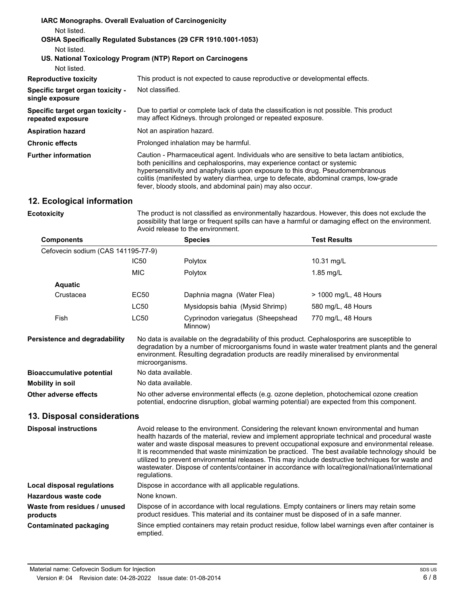| <b>IARC Monographs. Overall Evaluation of Carcinogenicity</b> |                                                                                                                                                                                                                                                                                                                                                                                                             |
|---------------------------------------------------------------|-------------------------------------------------------------------------------------------------------------------------------------------------------------------------------------------------------------------------------------------------------------------------------------------------------------------------------------------------------------------------------------------------------------|
| Not listed.                                                   |                                                                                                                                                                                                                                                                                                                                                                                                             |
|                                                               | OSHA Specifically Regulated Substances (29 CFR 1910.1001-1053)                                                                                                                                                                                                                                                                                                                                              |
| Not listed.                                                   |                                                                                                                                                                                                                                                                                                                                                                                                             |
|                                                               | US. National Toxicology Program (NTP) Report on Carcinogens                                                                                                                                                                                                                                                                                                                                                 |
| Not listed.                                                   |                                                                                                                                                                                                                                                                                                                                                                                                             |
| <b>Reproductive toxicity</b>                                  | This product is not expected to cause reproductive or developmental effects.                                                                                                                                                                                                                                                                                                                                |
| Specific target organ toxicity -<br>single exposure           | Not classified.                                                                                                                                                                                                                                                                                                                                                                                             |
| Specific target organ toxicity -<br>repeated exposure         | Due to partial or complete lack of data the classification is not possible. This product<br>may affect Kidneys, through prolonged or repeated exposure.                                                                                                                                                                                                                                                     |
| <b>Aspiration hazard</b>                                      | Not an aspiration hazard.                                                                                                                                                                                                                                                                                                                                                                                   |
| <b>Chronic effects</b>                                        | Prolonged inhalation may be harmful.                                                                                                                                                                                                                                                                                                                                                                        |
| <b>Further information</b>                                    | Caution - Pharmaceutical agent. Individuals who are sensitive to beta lactam antibiotics,<br>both penicillins and cephalosporins, may experience contact or systemic<br>hypersensitivity and anaphylaxis upon exposure to this drug. Pseudomembranous<br>colitis (manifested by watery diarrhea, urge to defecate, abdominal cramps, low-grade<br>fever, bloody stools, and abdominal pain) may also occur. |

# **12. Ecological information**

**Ecotoxicity**

The product is not classified as environmentally hazardous. However, this does not exclude the possibility that large or frequent spills can have a harmful or damaging effect on the environment. Avoid release to the environment.

| <b>Components</b>                  |                                                                                                                                                                                                                                                                                                            | <b>Species</b>                                                                                                                                                                             | <b>Test Results</b>     |
|------------------------------------|------------------------------------------------------------------------------------------------------------------------------------------------------------------------------------------------------------------------------------------------------------------------------------------------------------|--------------------------------------------------------------------------------------------------------------------------------------------------------------------------------------------|-------------------------|
| Cefovecin sodium (CAS 141195-77-9) |                                                                                                                                                                                                                                                                                                            |                                                                                                                                                                                            |                         |
|                                    | IC50                                                                                                                                                                                                                                                                                                       | Polytox                                                                                                                                                                                    | 10.31 mg/L              |
|                                    | <b>MIC</b>                                                                                                                                                                                                                                                                                                 | Polytox                                                                                                                                                                                    | $1.85$ mg/L             |
| <b>Aquatic</b>                     |                                                                                                                                                                                                                                                                                                            |                                                                                                                                                                                            |                         |
| Crustacea                          | EC50                                                                                                                                                                                                                                                                                                       | Daphnia magna (Water Flea)                                                                                                                                                                 | $>$ 1000 mg/L, 48 Hours |
|                                    | LC50                                                                                                                                                                                                                                                                                                       | Mysidopsis bahia (Mysid Shrimp)                                                                                                                                                            | 580 mg/L, 48 Hours      |
| Fish                               | <b>LC50</b>                                                                                                                                                                                                                                                                                                | Cyprinodon variegatus (Sheepshead<br>Minnow)                                                                                                                                               | 770 mg/L, 48 Hours      |
| Persistence and degradability      | No data is available on the degradability of this product. Cephalosporins are susceptible to<br>degradation by a number of microorganisms found in waste water treatment plants and the general<br>environment. Resulting degradation products are readily mineralised by environmental<br>microorganisms. |                                                                                                                                                                                            |                         |
| <b>Bioaccumulative potential</b>   | No data available.                                                                                                                                                                                                                                                                                         |                                                                                                                                                                                            |                         |
| <b>Mobility in soil</b>            | No data available.                                                                                                                                                                                                                                                                                         |                                                                                                                                                                                            |                         |
| Other adverse effects              |                                                                                                                                                                                                                                                                                                            | No other adverse environmental effects (e.g. ozone depletion, photochemical ozone creation<br>potential, endocrine disruption, global warming potential) are expected from this component. |                         |
| 13. Disposal considerations        |                                                                                                                                                                                                                                                                                                            |                                                                                                                                                                                            |                         |

| <b>Disposal instructions</b>             | Avoid release to the environment. Considering the relevant known environmental and human<br>health hazards of the material, review and implement appropriate technical and procedural waste<br>water and waste disposal measures to prevent occupational exposure and environmental release.<br>It is recommended that waste minimization be practiced. The best available technology should be<br>utilized to prevent environmental releases. This may include destructive techniques for waste and<br>wastewater. Dispose of contents/container in accordance with local/regional/national/international<br>requlations. |
|------------------------------------------|----------------------------------------------------------------------------------------------------------------------------------------------------------------------------------------------------------------------------------------------------------------------------------------------------------------------------------------------------------------------------------------------------------------------------------------------------------------------------------------------------------------------------------------------------------------------------------------------------------------------------|
| Local disposal regulations               | Dispose in accordance with all applicable regulations.                                                                                                                                                                                                                                                                                                                                                                                                                                                                                                                                                                     |
| Hazardous waste code                     | None known.                                                                                                                                                                                                                                                                                                                                                                                                                                                                                                                                                                                                                |
| Waste from residues / unused<br>products | Dispose of in accordance with local regulations. Empty containers or liners may retain some<br>product residues. This material and its container must be disposed of in a safe manner.                                                                                                                                                                                                                                                                                                                                                                                                                                     |
| <b>Contaminated packaging</b>            | Since emptied containers may retain product residue, follow label warnings even after container is<br>emptied.                                                                                                                                                                                                                                                                                                                                                                                                                                                                                                             |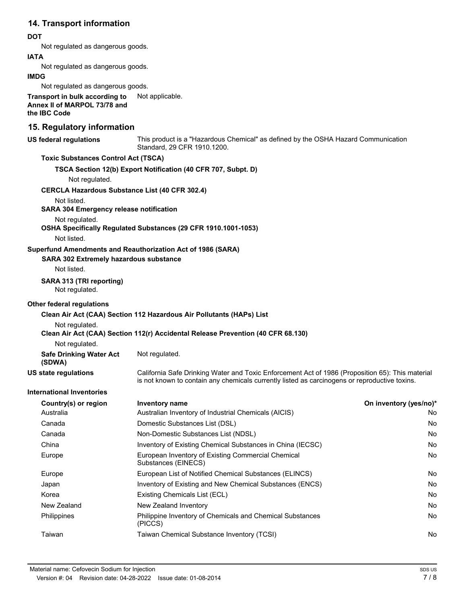# **14. Transport information**

#### **DOT**

Not regulated as dangerous goods.

#### **IATA**

Not regulated as dangerous goods.

#### **IMDG**

Not regulated as dangerous goods.

**Transport in bulk according to** Not applicable. **Annex II of MARPOL 73/78 and the IBC Code**

# **15. Regulatory information**

| <b>US federal regulations</b>                         | This product is a "Hazardous Chemical" as defined by the OSHA Hazard Communication<br>Standard, 29 CFR 1910.1200.                                                                                 |                        |  |
|-------------------------------------------------------|---------------------------------------------------------------------------------------------------------------------------------------------------------------------------------------------------|------------------------|--|
| <b>Toxic Substances Control Act (TSCA)</b>            |                                                                                                                                                                                                   |                        |  |
|                                                       | TSCA Section 12(b) Export Notification (40 CFR 707, Subpt. D)                                                                                                                                     |                        |  |
| Not regulated.                                        |                                                                                                                                                                                                   |                        |  |
| <b>CERCLA Hazardous Substance List (40 CFR 302.4)</b> |                                                                                                                                                                                                   |                        |  |
| Not listed.                                           |                                                                                                                                                                                                   |                        |  |
| <b>SARA 304 Emergency release notification</b>        |                                                                                                                                                                                                   |                        |  |
| Not regulated.                                        | OSHA Specifically Regulated Substances (29 CFR 1910.1001-1053)                                                                                                                                    |                        |  |
| Not listed.                                           |                                                                                                                                                                                                   |                        |  |
|                                                       | Superfund Amendments and Reauthorization Act of 1986 (SARA)                                                                                                                                       |                        |  |
| <b>SARA 302 Extremely hazardous substance</b>         |                                                                                                                                                                                                   |                        |  |
| Not listed.                                           |                                                                                                                                                                                                   |                        |  |
| SARA 313 (TRI reporting)                              |                                                                                                                                                                                                   |                        |  |
| Not regulated.                                        |                                                                                                                                                                                                   |                        |  |
| <b>Other federal regulations</b>                      |                                                                                                                                                                                                   |                        |  |
|                                                       | Clean Air Act (CAA) Section 112 Hazardous Air Pollutants (HAPs) List                                                                                                                              |                        |  |
| Not regulated.                                        |                                                                                                                                                                                                   |                        |  |
|                                                       | Clean Air Act (CAA) Section 112(r) Accidental Release Prevention (40 CFR 68.130)                                                                                                                  |                        |  |
| Not regulated.                                        |                                                                                                                                                                                                   |                        |  |
| <b>Safe Drinking Water Act</b><br>(SDWA)              | Not regulated.                                                                                                                                                                                    |                        |  |
| <b>US state regulations</b>                           | California Safe Drinking Water and Toxic Enforcement Act of 1986 (Proposition 65): This material<br>is not known to contain any chemicals currently listed as carcinogens or reproductive toxins. |                        |  |
| <b>International Inventories</b>                      |                                                                                                                                                                                                   |                        |  |
| Country(s) or region                                  | <b>Inventory name</b>                                                                                                                                                                             | On inventory (yes/no)* |  |
| Australia                                             | Australian Inventory of Industrial Chemicals (AICIS)                                                                                                                                              | No                     |  |
| Canada                                                | Domestic Substances List (DSL)                                                                                                                                                                    | No                     |  |
| Canada                                                | Non-Domestic Substances List (NDSL)                                                                                                                                                               | No                     |  |
| China                                                 | Inventory of Existing Chemical Substances in China (IECSC)                                                                                                                                        | No                     |  |
| Europe                                                | European Inventory of Existing Commercial Chemical<br>Substances (EINECS)                                                                                                                         | No                     |  |
| Europe                                                | European List of Notified Chemical Substances (ELINCS)                                                                                                                                            | No                     |  |
| Japan                                                 | Inventory of Existing and New Chemical Substances (ENCS)                                                                                                                                          | No                     |  |
| Korea                                                 | Existing Chemicals List (ECL)                                                                                                                                                                     | No                     |  |

New Zealand New Zealand Inventory No Philippines **Philippine Inventory of Chemicals and Chemical Substances** No